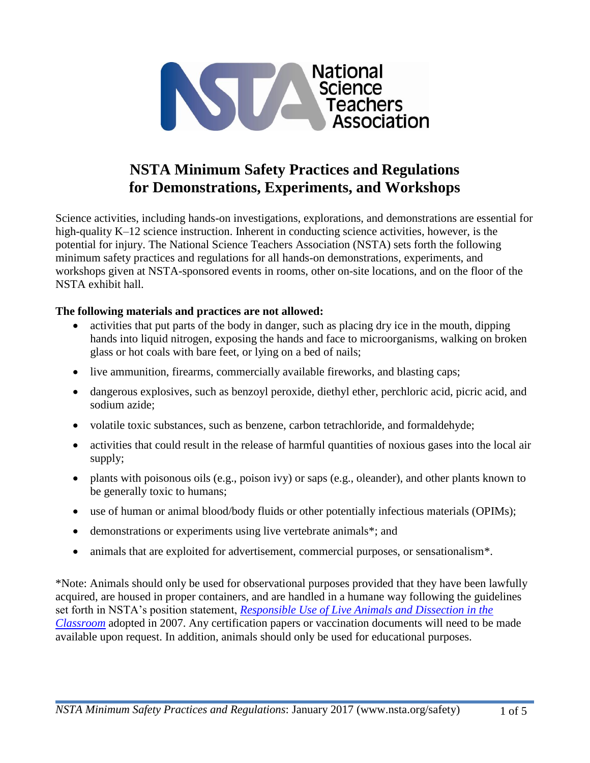

## **NSTA Minimum Safety Practices and Regulations for Demonstrations, Experiments, and Workshops**

Science activities, including hands-on investigations, explorations, and demonstrations are essential for high-quality K–12 science instruction. Inherent in conducting science activities, however, is the potential for injury. The National Science Teachers Association (NSTA) sets forth the following minimum safety practices and regulations for all hands-on demonstrations, experiments, and workshops given at NSTA-sponsored events in rooms, other on-site locations, and on the floor of the NSTA exhibit hall.

## **The following materials and practices are not allowed:**

- activities that put parts of the body in danger, such as placing dry ice in the mouth, dipping hands into liquid nitrogen, exposing the hands and face to microorganisms, walking on broken glass or hot coals with bare feet, or lying on a bed of nails;
- live ammunition, firearms, commercially available fireworks, and blasting caps;
- dangerous explosives, such as benzoyl peroxide, diethyl ether, perchloric acid, picric acid, and sodium azide;
- volatile toxic substances, such as benzene, carbon tetrachloride, and formaldehyde;
- activities that could result in the release of harmful quantities of noxious gases into the local air supply;
- plants with poisonous oils (e.g., poison ivy) or saps (e.g., oleander), and other plants known to be generally toxic to humans;
- use of human or animal blood/body fluids or other potentially infectious materials (OPIMs);
- demonstrations or experiments using live vertebrate animals\*; and
- animals that are exploited for advertisement, commercial purposes, or sensationalism\*.

\*Note: Animals should only be used for observational purposes provided that they have been lawfully acquired, are housed in proper containers, and are handled in a humane way following the guidelines set forth in NSTA's position statement, *[Responsible Use of Live Animals and Dissection in the](http://www.nsta.org/about/positions/animals.aspx)  [Classroom](http://www.nsta.org/about/positions/animals.aspx)* adopted in 2007. Any certification papers or vaccination documents will need to be made available upon request. In addition, animals should only be used for educational purposes.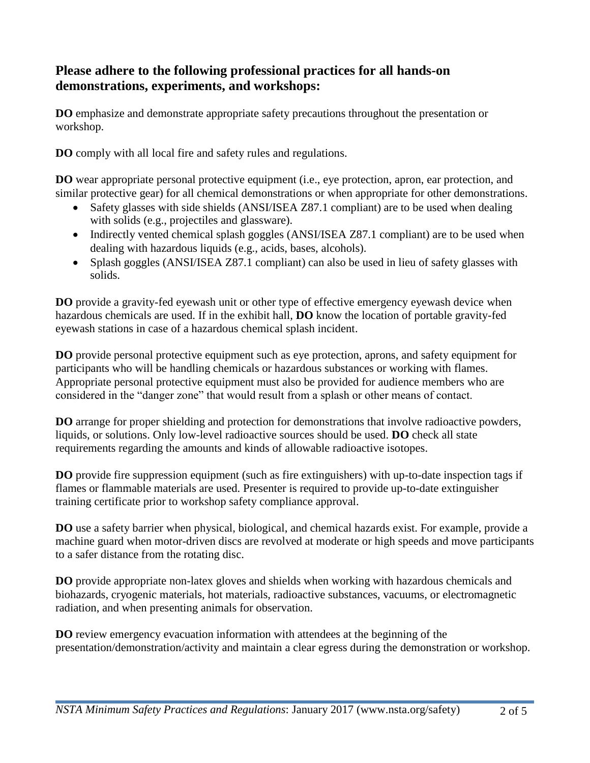## **Please adhere to the following professional practices for all hands-on demonstrations, experiments, and workshops:**

**DO** emphasize and demonstrate appropriate safety precautions throughout the presentation or workshop.

**DO** comply with all local fire and safety rules and regulations.

**DO** wear appropriate personal protective equipment (i.e., eye protection, apron, ear protection, and similar protective gear) for all chemical demonstrations or when appropriate for other demonstrations.

- Safety glasses with side shields (ANSI/ISEA Z87.1 compliant) are to be used when dealing with solids (e.g., projectiles and glassware).
- Indirectly vented chemical splash goggles (ANSI/ISEA Z87.1 compliant) are to be used when dealing with hazardous liquids (e.g., acids, bases, alcohols).
- Splash goggles (ANSI/ISEA Z87.1 compliant) can also be used in lieu of safety glasses with solids.

**DO** provide a gravity-fed eyewash unit or other type of effective emergency eyewash device when hazardous chemicals are used. If in the exhibit hall, **DO** know the location of portable gravity-fed eyewash stations in case of a hazardous chemical splash incident.

**DO** provide personal protective equipment such as eye protection, aprons, and safety equipment for participants who will be handling chemicals or hazardous substances or working with flames. Appropriate personal protective equipment must also be provided for audience members who are considered in the "danger zone" that would result from a splash or other means of contact.

**DO** arrange for proper shielding and protection for demonstrations that involve radioactive powders, liquids, or solutions. Only low-level radioactive sources should be used. **DO** check all state requirements regarding the amounts and kinds of allowable radioactive isotopes.

**DO** provide fire suppression equipment (such as fire extinguishers) with up-to-date inspection tags if flames or flammable materials are used. Presenter is required to provide up-to-date extinguisher training certificate prior to workshop safety compliance approval.

**DO** use a safety barrier when physical, biological, and chemical hazards exist. For example, provide a machine guard when motor-driven discs are revolved at moderate or high speeds and move participants to a safer distance from the rotating disc.

**DO** provide appropriate non-latex gloves and shields when working with hazardous chemicals and biohazards, cryogenic materials, hot materials, radioactive substances, vacuums, or electromagnetic radiation, and when presenting animals for observation.

**DO** review emergency evacuation information with attendees at the beginning of the presentation/demonstration/activity and maintain a clear egress during the demonstration or workshop.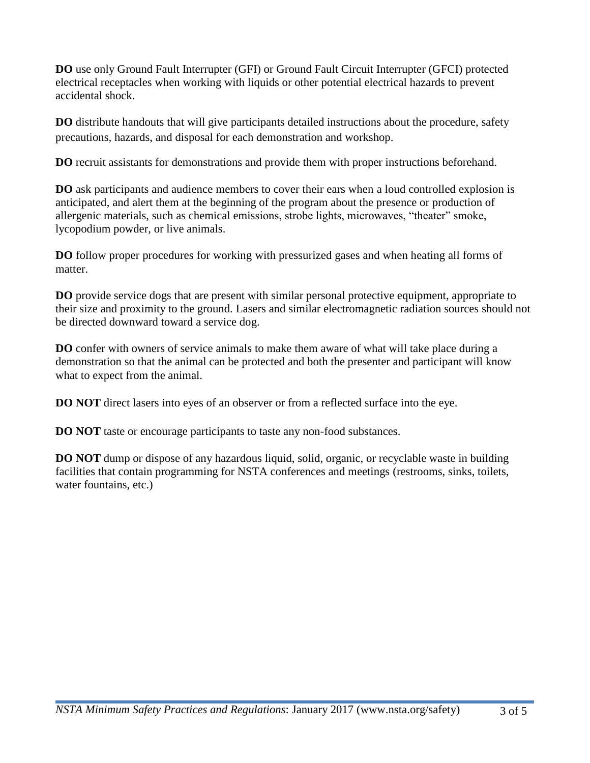**DO** use only Ground Fault Interrupter (GFI) or Ground Fault Circuit Interrupter (GFCI) protected electrical receptacles when working with liquids or other potential electrical hazards to prevent accidental shock.

**DO** distribute handouts that will give participants detailed instructions about the procedure, safety precautions, hazards, and disposal for each demonstration and workshop.

**DO** recruit assistants for demonstrations and provide them with proper instructions beforehand.

**DO** ask participants and audience members to cover their ears when a loud controlled explosion is anticipated, and alert them at the beginning of the program about the presence or production of allergenic materials, such as chemical emissions, strobe lights, microwaves, "theater" smoke, lycopodium powder, or live animals.

**DO** follow proper procedures for working with pressurized gases and when heating all forms of matter.

**DO** provide service dogs that are present with similar personal protective equipment, appropriate to their size and proximity to the ground. Lasers and similar electromagnetic radiation sources should not be directed downward toward a service dog.

**DO** confer with owners of service animals to make them aware of what will take place during a demonstration so that the animal can be protected and both the presenter and participant will know what to expect from the animal.

**DO NOT** direct lasers into eyes of an observer or from a reflected surface into the eye.

**DO NOT** taste or encourage participants to taste any non-food substances.

**DO NOT** dump or dispose of any hazardous liquid, solid, organic, or recyclable waste in building facilities that contain programming for NSTA conferences and meetings (restrooms, sinks, toilets, water fountains, etc.)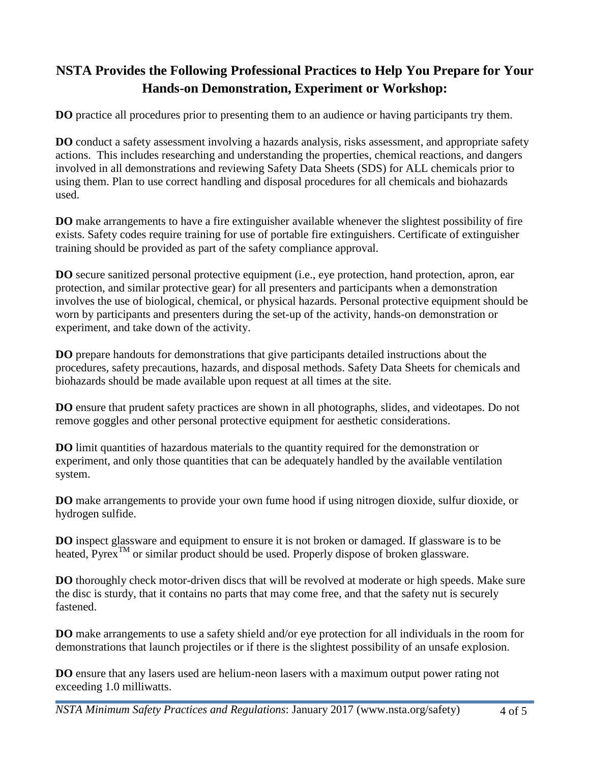## **NSTA Provides the Following Professional Practices to Help You Prepare for Your Hands-on Demonstration, Experiment or Workshop:**

**DO** practice all procedures prior to presenting them to an audience or having participants try them.

**DO** conduct a safety assessment involving a hazards analysis, risks assessment, and appropriate safety actions. This includes researching and understanding the properties, chemical reactions, and dangers involved in all demonstrations and reviewing Safety Data Sheets (SDS) for ALL chemicals prior to using them. Plan to use correct handling and disposal procedures for all chemicals and biohazards used.

**DO** make arrangements to have a fire extinguisher available whenever the slightest possibility of fire exists. Safety codes require training for use of portable fire extinguishers. Certificate of extinguisher training should be provided as part of the safety compliance approval.

**DO** secure sanitized personal protective equipment (i.e., eye protection, hand protection, apron, ear protection, and similar protective gear) for all presenters and participants when a demonstration involves the use of biological, chemical, or physical hazards. Personal protective equipment should be worn by participants and presenters during the set-up of the activity, hands-on demonstration or experiment, and take down of the activity.

**DO** prepare handouts for demonstrations that give participants detailed instructions about the procedures, safety precautions, hazards, and disposal methods. Safety Data Sheets for chemicals and biohazards should be made available upon request at all times at the site.

**DO** ensure that prudent safety practices are shown in all photographs, slides, and videotapes. Do not remove goggles and other personal protective equipment for aesthetic considerations.

**DO** limit quantities of hazardous materials to the quantity required for the demonstration or experiment, and only those quantities that can be adequately handled by the available ventilation system.

**DO** make arrangements to provide your own fume hood if using nitrogen dioxide, sulfur dioxide, or hydrogen sulfide.

**DO** inspect glassware and equipment to ensure it is not broken or damaged. If glassware is to be heated, Pyrex<sup>TM</sup> or similar product should be used. Properly dispose of broken glassware.

**DO** thoroughly check motor-driven discs that will be revolved at moderate or high speeds. Make sure the disc is sturdy, that it contains no parts that may come free, and that the safety nut is securely fastened.

**DO** make arrangements to use a safety shield and/or eye protection for all individuals in the room for demonstrations that launch projectiles or if there is the slightest possibility of an unsafe explosion.

**DO** ensure that any lasers used are helium-neon lasers with a maximum output power rating not exceeding 1.0 milliwatts.